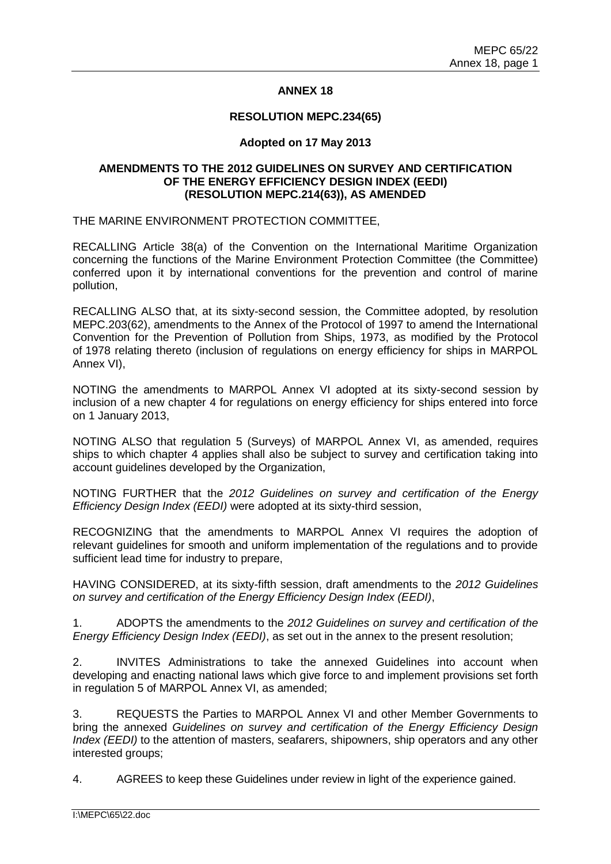# **ANNEX 18**

#### **RESOLUTION MEPC.234(65)**

### **Adopted on 17 May 2013**

## **AMENDMENTS TO THE 2012 GUIDELINES ON SURVEY AND CERTIFICATION OF THE ENERGY EFFICIENCY DESIGN INDEX (EEDI) (RESOLUTION MEPC.214(63)), AS AMENDED**

THE MARINE ENVIRONMENT PROTECTION COMMITTEE,

RECALLING Article 38(a) of the Convention on the International Maritime Organization concerning the functions of the Marine Environment Protection Committee (the Committee) conferred upon it by international conventions for the prevention and control of marine pollution,

RECALLING ALSO that, at its sixty-second session, the Committee adopted, by resolution MEPC.203(62), amendments to the Annex of the Protocol of 1997 to amend the International Convention for the Prevention of Pollution from Ships, 1973, as modified by the Protocol of 1978 relating thereto (inclusion of regulations on energy efficiency for ships in MARPOL Annex VI),

NOTING the amendments to MARPOL Annex VI adopted at its sixty-second session by inclusion of a new chapter 4 for regulations on energy efficiency for ships entered into force on 1 January 2013,

NOTING ALSO that regulation 5 (Surveys) of MARPOL Annex VI, as amended, requires ships to which chapter 4 applies shall also be subject to survey and certification taking into account guidelines developed by the Organization,

NOTING FURTHER that the *2012 Guidelines on survey and certification of the Energy Efficiency Design Index (EEDI)* were adopted at its sixty-third session,

RECOGNIZING that the amendments to MARPOL Annex VI requires the adoption of relevant guidelines for smooth and uniform implementation of the regulations and to provide sufficient lead time for industry to prepare,

HAVING CONSIDERED, at its sixty-fifth session, draft amendments to the *2012 Guidelines on survey and certification of the Energy Efficiency Design Index (EEDI)*,

1. ADOPTS the amendments to the *2012 Guidelines on survey and certification of the Energy Efficiency Design Index (EEDI)*, as set out in the annex to the present resolution;

2. INVITES Administrations to take the annexed Guidelines into account when developing and enacting national laws which give force to and implement provisions set forth in regulation 5 of MARPOL Annex VI, as amended;

3. REQUESTS the Parties to MARPOL Annex VI and other Member Governments to bring the annexed *Guidelines on survey and certification of the Energy Efficiency Design Index (EEDI)* to the attention of masters, seafarers, shipowners, ship operators and any other interested groups;

4. AGREES to keep these Guidelines under review in light of the experience gained.